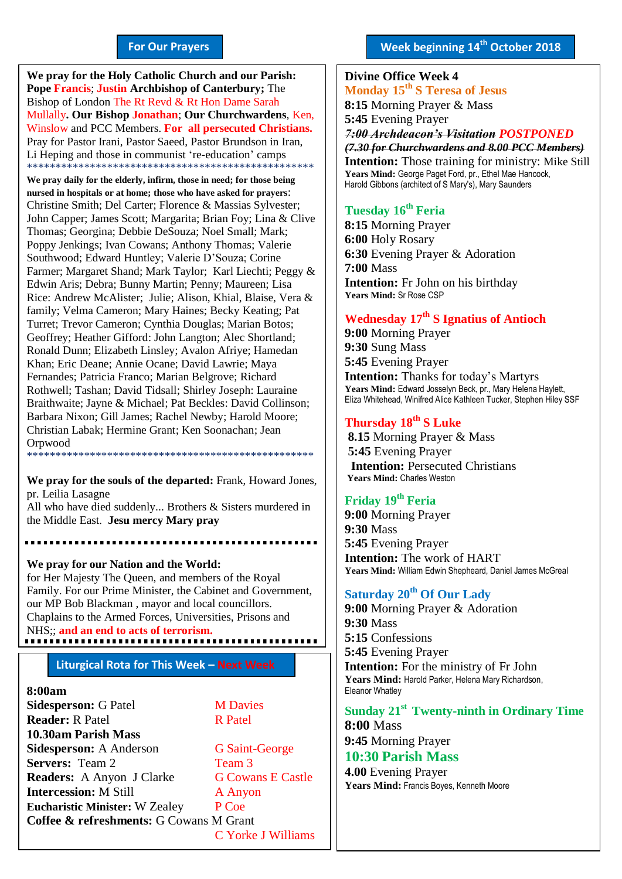#### **For Our Prayers**

arted Mullally**. Our Bishop Jonathan**; **Our Churchwardens**, Ken, **We pray for the Holy Catholic Church and our Parish: Pope Francis**; **Justin Archbishop of Canterbury;** The Bishop of London The Rt Revd & Rt Hon Dame Sarah Winslow and PCC Members. **For all persecuted Christians.** Pray for Pastor Irani, Pastor Saeed, Pastor Brundson in Iran, Li Heping and those in communist 're-education' camps \*\*\*\*\*\*\*\*\*\*\*\*\*\*\*\*\*\*\*\*\*\*\*\*\*\*\*\*\*\*\*\*\*\*\*\*\*\*\*\*\*\*\*\*\*\*\*\*\*\*

**We pray daily for the elderly, infirm, those in need; for those being nursed in hospitals or at home; those who have asked for prayers**: Christine Smith; Del Carter; Florence & Massias Sylvester; John Capper; James Scott; Margarita; Brian Foy; Lina & Clive Thomas; Georgina; Debbie DeSouza; Noel Small; Mark; Poppy Jenkings; Ivan Cowans; Anthony Thomas; Valerie Southwood; Edward Huntley; Valerie D'Souza; Corine Farmer; Margaret Shand; Mark Taylor; Karl Liechti; Peggy & Edwin Aris; Debra; Bunny Martin; Penny; Maureen; Lisa Rice: Andrew McAlister; Julie; Alison, Khial, Blaise, Vera & family; Velma Cameron; Mary Haines; Becky Keating; Pat Turret; Trevor Cameron; Cynthia Douglas; Marian Botos; Geoffrey; Heather Gifford: John Langton; Alec Shortland; Ronald Dunn; Elizabeth Linsley; Avalon Afriye; Hamedan Khan; Eric Deane; Annie Ocane; David Lawrie; Maya Fernandes; Patricia Franco; Marian Belgrove; Richard Rothwell; Tashan; David Tidsall; Shirley Joseph: Lauraine Braithwaite; Jayne & Michael; Pat Beckles: David Collinson; Barbara Nixon; Gill James; Rachel Newby; Harold Moore; Christian Labak; Hermine Grant; Ken Soonachan; Jean **Orpwood** \*\*\*\*\*\*\*\*\*\*\*\*\*\*\*\*\*\*\*\*\*\*\*\*\*\*\*\*\*\*\*\*\*\*\*\*\*\*\*\*\*\*\*\*\*\*\*\*\*\*

**We pray for the souls of the departed:** Frank, Howard Jones, pr. Leilia Lasagne

All who have died suddenly... Brothers & Sisters murdered in the Middle East. **Jesu mercy Mary pray**

**We pray for our Nation and the World:** for Her Majesty The Queen, and members of the Royal Family. For our Prime Minister, the Cabinet and Government, our MP Bob Blackman , mayor and local councillors. Chaplains to the Armed Forces, Universities, Prisons and NHS;; **and an end to acts of terrorism.**

#### **Liturgical Rota for This Week – Next Week**

#### **8:00am**

**Sidesperson:** G Patel **M Davies Reader:** R Patel R Patel **10.30am Parish Mass Sidesperson:** A Anderson G Saint-George **Servers:** Team 2 Team 3 **Readers:** A Anyon J Clarke G Cowans E Castle **Intercession:** M Still **A** Anyon **Eucharistic Minister:** W Zealey P Coe **Coffee & refreshments:** G Cowans M Grant C Yorke J Williams **Week beginning 14th October 2018**

#### **Divine Office Week 4 Monday 15th S Teresa of Jesus 8:15** Morning Prayer & Mass **5:45** Evening Prayer *7:00 Archdeacon's Visitation POSTPONED (7.30 for Churchwardens and 8.00 PCC Members)* **Intention:** Those training for ministry: Mike Still **Years Mind:** George Paget Ford, pr., Ethel Mae Hancock, Harold Gibbons (architect of S Mary's), Mary Saunders

#### **Tuesday 16th Feria**

**8:15** Morning Prayer **6:00** Holy Rosary **6:30** Evening Prayer & Adoration **7:00** Mass **Intention:** Fr John on his birthday **Years Mind:** Sr Rose CSP

#### **Wednesday 17 th S Ignatius of Antioch**

**9:00** Morning Prayer **9:30** Sung Mass **5:45** Evening Prayer **Intention:** Thanks for today's Martyrs Years Mind: Edward Josselyn Beck, pr., Mary Helena Haylett, Eliza Whitehead, Winifred Alice Kathleen Tucker, Stephen Hiley SSF

#### **Thursday 18 th S Luke**

**8.15** Morning Prayer & Mass **5:45** Evening Prayer **Intention:** Persecuted Christians **Years Mind:** Charles Weston

#### **Friday 19 th Feria**

**9:00** Morning Prayer **9:30** Mass **5:45** Evening Prayer **Intention:** The work of HART **Years Mind:** William Edwin Shepheard, Daniel James McGreal

#### **Saturday 20th Of Our Lady**

**9:00** Morning Prayer & Adoration **9:30** Mass **5:15** Confessions **5:45** Evening Prayer **Intention:** For the ministry of Fr John **Years Mind:** Harold Parker, Helena Mary Richardson, Eleanor Whatley

### **Sunday 21st Twenty-ninth in Ordinary Time**

**8:00** Mass **9:45** Morning Prayer

### **10:30 Parish Mass**

**4.00** Evening Prayer **Years Mind:** Francis Boyes, Kenneth Moore